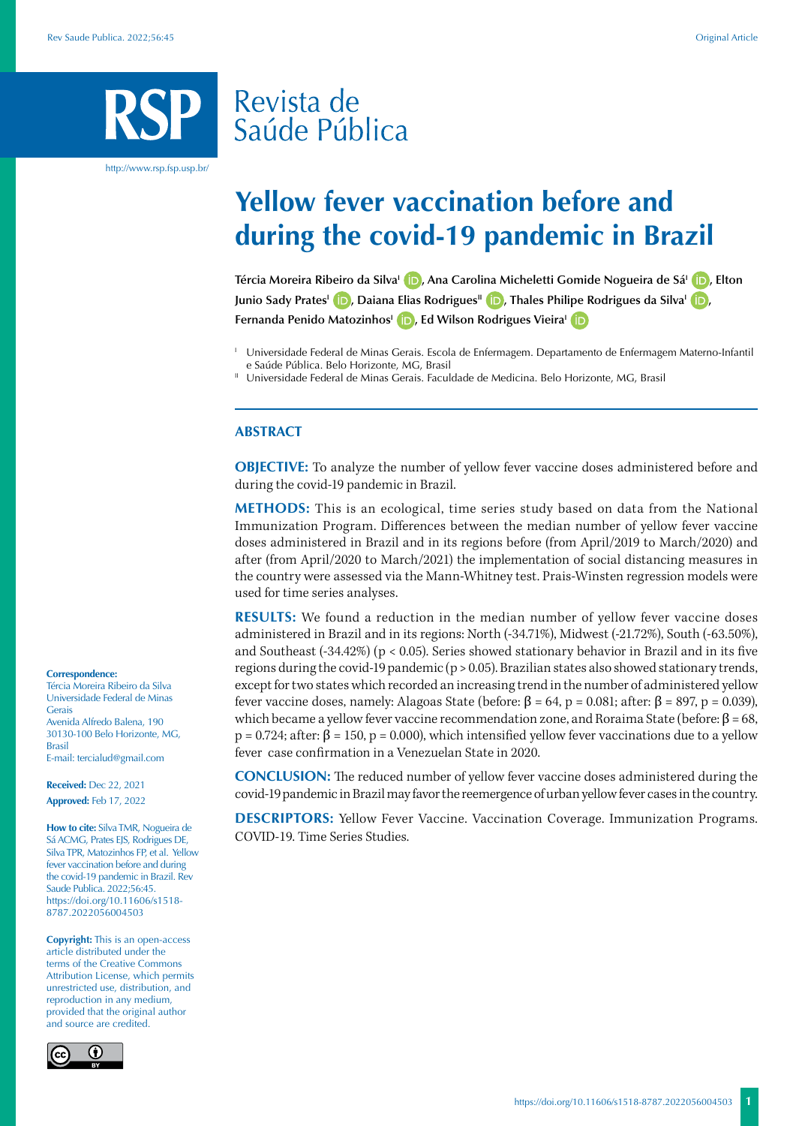# Revista de Saúde Pública

http://www.rsp.fsp.usp.br/

# **Yellow fever vaccination before and during the covid-19 pandemic in Brazil**

**Tércia Moreira Ribeiro da Silva<sup>1</sup> <b>D**[,](https://orcid.org/0000-0002-5261-2266) Ana Carolina Micheletti Gomide Nogueira de Sá<sup>1</sup> **D**[,](https://orcid.org/0000-0002-0122-2727) Elton **Junio Sady Prates<sup>1</sup> (D</sup>)[,](https://orcid.org/0000-0002-5049-186X) Daiana Elias Rodrigues<sup>II</sup> (D)[,](https://orcid.org/0000-0002-7115-0925) Thales Philipe Rodrigues da Silva<sup>1</sup> (D), Fernanda Penido Matozinhos<sup>1</sup> <b>D**[,](https://orcid.org/0000-0003-1368-4248) Ed Wilson Rodrigues Vieira<sup>1</sup> **D** 

#### **ABSTRACT**

**OBJECTIVE:** To analyze the number of yellow fever vaccine doses administered before and during the covid-19 pandemic in Brazil.

**METHODS:** This is an ecological, time series study based on data from the National Immunization Program. Differences between the median number of yellow fever vaccine doses administered in Brazil and in its regions before (from April/2019 to March/2020) and after (from April/2020 to March/2021) the implementation of social distancing measures in the country were assessed via the Mann-Whitney test. Prais-Winsten regression models were used for time series analyses.

**RESULTS:** We found a reduction in the median number of yellow fever vaccine doses administered in Brazil and in its regions: North (-34.71%), Midwest (-21.72%), South (-63.50%), and Southeast (-34.42%) (p < 0.05). Series showed stationary behavior in Brazil and in its five regions during the covid-19 pandemic (p > 0.05). Brazilian states also showed stationary trends, except for two states which recorded an increasing trend in the number of administered yellow fever vaccine doses, namely: Alagoas State (before: β = 64, p = 0.081; after: β = 897, p = 0.039), which became a yellow fever vaccine recommendation zone, and Roraima State (before:  $β = 68$ ,  $p = 0.724$ ; after:  $\beta = 150$ ,  $p = 0.000$ ), which intensified yellow fever vaccinations due to a yellow fever case confirmation in a Venezuelan State in 2020.

**CONCLUSION:** The reduced number of yellow fever vaccine doses administered during the covid-19 pandemic in Brazil may favor the reemergence of urban yellow fever cases in the country.

**DESCRIPTORS:** Yellow Fever Vaccine. Vaccination Coverage. Immunization Programs. COVID-19. Time Series Studies.

#### **Correspondence:**

Tércia Moreira Ribeiro da Silva Universidade Federal de Minas Gerais Avenida Alfredo Balena, 190 30130-100 Belo Horizonte, MG, Brasil E-mail: tercialud@gmail.com

**Received:** Dec 22, 2021 **Approved:** Feb 17, 2022

**How to cite:** Silva TMR, Nogueira de Sá ACMG, Prates EJS, Rodrigues DE, Silva TPR, Matozinhos FP, et al. Yellow fever vaccination before and during the covid-19 pandemic in Brazil. Rev Saude Publica. 2022;56:45. https://doi.org/10.11606/s1518- 8787.2022056004503

**Copyright:** This is an open-access article distributed under the terms of the Creative Commons Attribution License, which permits unrestricted use, distribution, and reproduction in any medium, provided that the original author and source are credited.



<sup>I</sup> Universidade Federal de Minas Gerais. Escola de Enfermagem. Departamento de Enfermagem Materno-Infantil e Saúde Pública. Belo Horizonte, MG, Brasil

<sup>&</sup>lt;sup>II</sup> Universidade Federal de Minas Gerais. Faculdade de Medicina. Belo Horizonte, MG, Brasil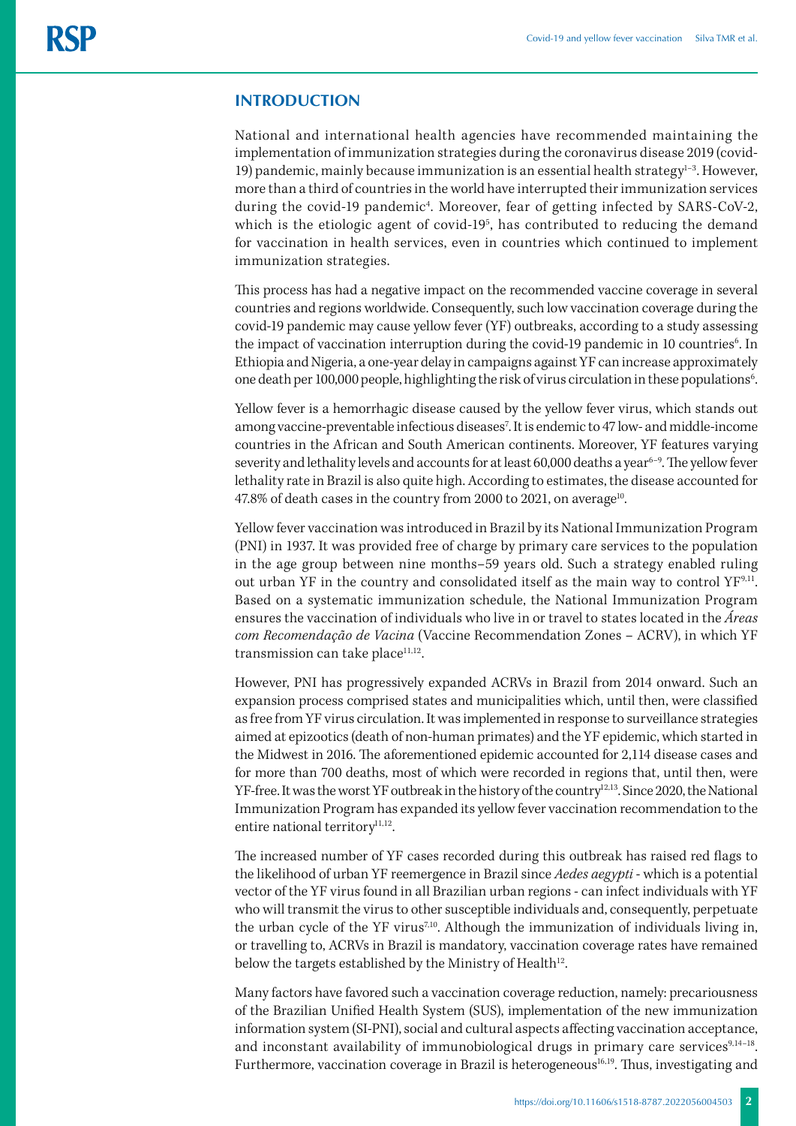## **INTRODUCTION**

National and international health agencies have recommended maintaining the implementation of immunization strategies during the coronavirus disease 2019 (covid-19) pandemic, mainly because immunization is an essential health strategy $1-3$ . However, more than a third of countries in the world have interrupted their immunization services during the covid-19 pandemic<sup>4</sup>. Moreover, fear of getting infected by SARS-CoV-2, which is the etiologic agent of covid-19<sup>5</sup>, has contributed to reducing the demand for vaccination in health services, even in countries which continued to implement immunization strategies.

This process has had a negative impact on the recommended vaccine coverage in several countries and regions worldwide. Consequently, such low vaccination coverage during the covid-19 pandemic may cause yellow fever (YF) outbreaks, according to a study assessing the impact of vaccination interruption during the covid-19 pandemic in 10 countries<sup>6</sup>. In Ethiopia and Nigeria, a one-year delay in campaigns against YF can increase approximately one death per 100,000 people, highlighting the risk of virus circulation in these populations<sup>6</sup>.

Yellow fever is a hemorrhagic disease caused by the yellow fever virus, which stands out among vaccine-preventable infectious diseases<sup>7</sup>. It is endemic to 47 low- and middle-income countries in the African and South American continents. Moreover, YF features varying severity and lethality levels and accounts for at least  $60,000$  deaths a year<sup>6-9</sup>. The yellow fever lethality rate in Brazil is also quite high. According to estimates, the disease accounted for 47.8% of death cases in the country from 2000 to 2021, on average<sup>10</sup>.

Yellow fever vaccination was introduced in Brazil by its National Immunization Program (PNI) in 1937. It was provided free of charge by primary care services to the population in the age group between nine months–59 years old. Such a strategy enabled ruling out urban YF in the country and consolidated itself as the main way to control YF9,11. Based on a systematic immunization schedule, the National Immunization Program ensures the vaccination of individuals who live in or travel to states located in the *Áreas com Recomendação de Vacina* (Vaccine Recommendation Zones – ACRV), in which YF transmission can take place<sup>11,12</sup>.

However, PNI has progressively expanded ACRVs in Brazil from 2014 onward. Such an expansion process comprised states and municipalities which, until then, were classified as free from YF virus circulation. It was implemented in response to surveillance strategies aimed at epizootics (death of non-human primates) and the YF epidemic, which started in the Midwest in 2016. The aforementioned epidemic accounted for 2,114 disease cases and for more than 700 deaths, most of which were recorded in regions that, until then, were YF-free. It was the worst YF outbreak in the history of the country<sup>12,13</sup>. Since 2020, the National Immunization Program has expanded its yellow fever vaccination recommendation to the entire national territory<sup>11,12</sup>.

The increased number of YF cases recorded during this outbreak has raised red flags to the likelihood of urban YF reemergence in Brazil since *Aedes aegypti* - which is a potential vector of the YF virus found in all Brazilian urban regions - can infect individuals with YF who will transmit the virus to other susceptible individuals and, consequently, perpetuate the urban cycle of the YF virus<sup>7,10</sup>. Although the immunization of individuals living in, or travelling to, ACRVs in Brazil is mandatory, vaccination coverage rates have remained below the targets established by the Ministry of Health<sup>12</sup>.

Many factors have favored such a vaccination coverage reduction, namely: precariousness of the Brazilian Unified Health System (SUS), implementation of the new immunization information system (SI-PNI), social and cultural aspects affecting vaccination acceptance, and inconstant availability of immunobiological drugs in primary care services $9,14-18$ . Furthermore, vaccination coverage in Brazil is heterogeneous<sup>16,19</sup>. Thus, investigating and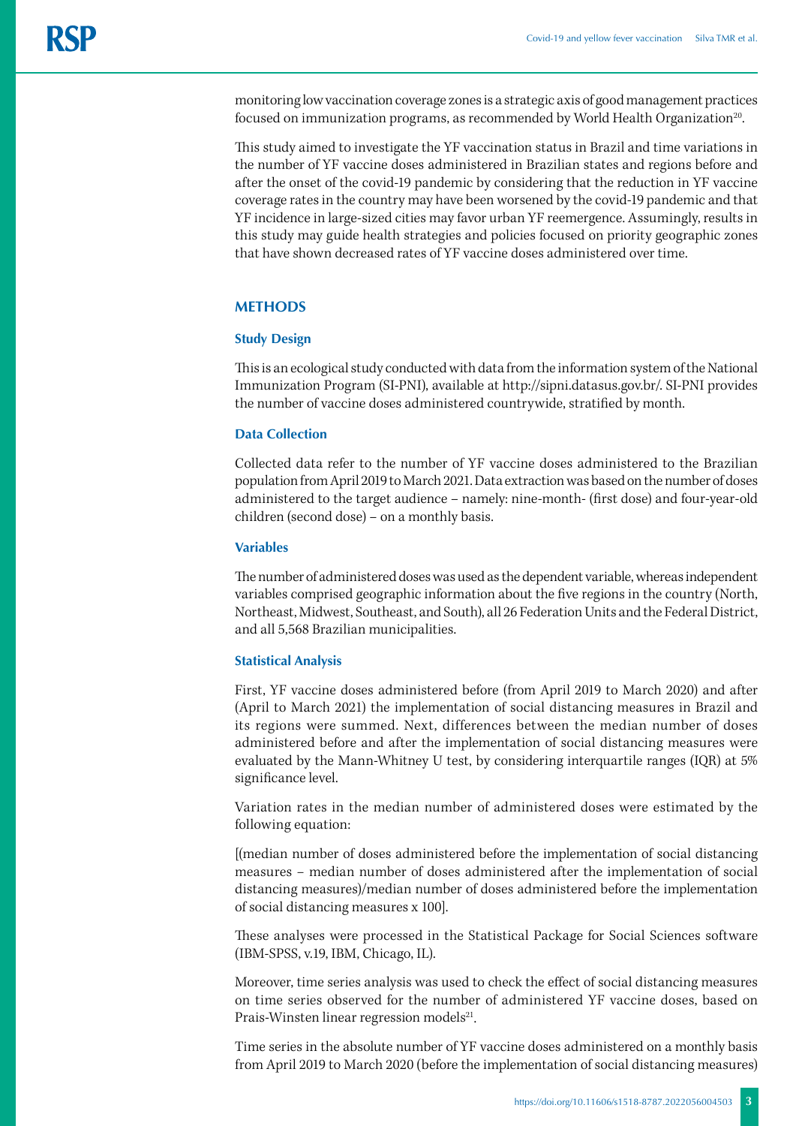monitoring low vaccination coverage zones is a strategic axis of good management practices focused on immunization programs, as recommended by World Health Organization<sup>20</sup>.

This study aimed to investigate the YF vaccination status in Brazil and time variations in the number of YF vaccine doses administered in Brazilian states and regions before and after the onset of the covid-19 pandemic by considering that the reduction in YF vaccine coverage rates in the country may have been worsened by the covid-19 pandemic and that YF incidence in large-sized cities may favor urban YF reemergence. Assumingly, results in this study may guide health strategies and policies focused on priority geographic zones that have shown decreased rates of YF vaccine doses administered over time.

# **METHODS**

#### **Study Design**

This is an ecological study conducted with data from the information system of the National Immunization Program (SI-PNI), available at http://sipni.datasus.gov.br/. SI-PNI provides the number of vaccine doses administered countrywide, stratified by month.

# **Data Collection**

Collected data refer to the number of YF vaccine doses administered to the Brazilian population from April 2019 to March 2021. Data extraction was based on the number of doses administered to the target audience – namely: nine-month- (first dose) and four-year-old children (second dose) – on a monthly basis.

## **Variables**

The number of administered doses was used as the dependent variable, whereas independent variables comprised geographic information about the five regions in the country (North, Northeast, Midwest, Southeast, and South), all 26 Federation Units and the Federal District, and all 5,568 Brazilian municipalities.

## **Statistical Analysis**

First, YF vaccine doses administered before (from April 2019 to March 2020) and after (April to March 2021) the implementation of social distancing measures in Brazil and its regions were summed. Next, differences between the median number of doses administered before and after the implementation of social distancing measures were evaluated by the Mann-Whitney U test, by considering interquartile ranges (IQR) at 5% significance level.

Variation rates in the median number of administered doses were estimated by the following equation:

[(median number of doses administered before the implementation of social distancing measures − median number of doses administered after the implementation of social distancing measures)/median number of doses administered before the implementation of social distancing measures x 100].

These analyses were processed in the Statistical Package for Social Sciences software (IBM-SPSS, v.19, IBM, Chicago, IL).

Moreover, time series analysis was used to check the effect of social distancing measures on time series observed for the number of administered YF vaccine doses, based on Prais-Winsten linear regression models<sup>21</sup>.

Time series in the absolute number of YF vaccine doses administered on a monthly basis from April 2019 to March 2020 (before the implementation of social distancing measures)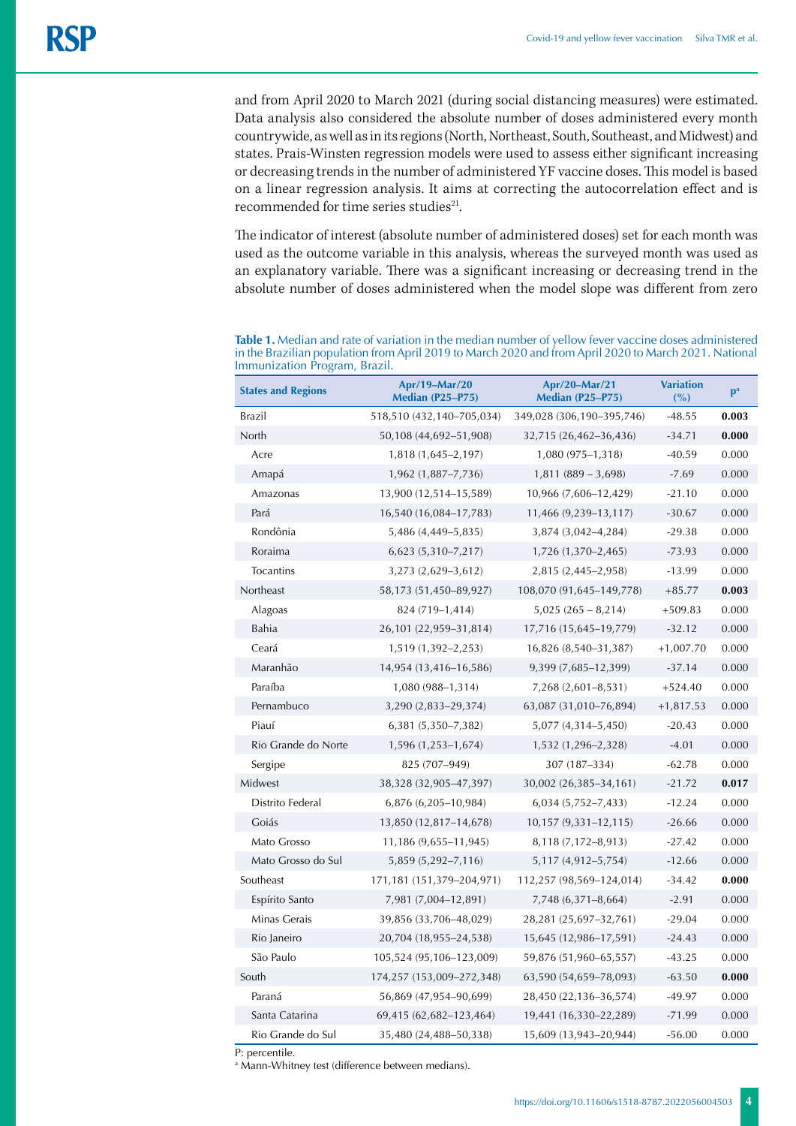and from April 2020 to March 2021 (during social distancing measures) were estimated. Data analysis also considered the absolute number of doses administered every month countrywide, as well as in its regions (North, Northeast, South, Southeast, and Midwest) and states. Prais-Winsten regression models were used to assess either significant increasing or decreasing trends in the number of administered YF vaccine doses. This model is based on a linear regression analysis. It aims at correcting the autocorrelation effect and is recommended for time series studies $21$ .

The indicator of interest (absolute number of administered doses) set for each month was used as the outcome variable in this analysis, whereas the surveyed month was used as an explanatory variable. There was a significant increasing or decreasing trend in the absolute number of doses administered when the model slope was different from zero

**Table 1.** Median and rate of variation in the median number of yellow fever vaccine doses administered in the Brazilian population from April 2019 to March 2020 and from April 2020 to March 2021. National Immunization Program, Brazil.

| <b>States and Regions</b> | Apr/19-Mar/20<br><b>Median (P25-P75)</b> | Apr/20-Mar/21<br><b>Median (P25-P75)</b> | <b>Variation</b><br>(%) | p <sup>a</sup> |
|---------------------------|------------------------------------------|------------------------------------------|-------------------------|----------------|
| Brazil                    | 518,510 (432,140-705,034)                | 349,028 (306,190-395,746)                | $-48.55$                | 0.003          |
| North                     | 50,108 (44,692-51,908)                   | 32,715 (26,462-36,436)                   | $-34.71$                | 0.000          |
| Acre                      | 1,818 (1,645-2,197)                      | 1,080 (975-1,318)                        | $-40.59$                | 0.000          |
| Amapá                     | 1,962 (1,887–7,736)                      | $1,811(889 - 3,698)$                     | $-7.69$                 | 0.000          |
| Amazonas                  | 13,900 (12,514-15,589)                   | 10,966 (7,606-12,429)                    | $-21.10$                | 0.000          |
| Pará                      | 16,540 (16,084-17,783)                   | 11,466 (9,239-13,117)                    | $-30.67$                | 0.000          |
| Rondônia                  | 5,486 (4,449–5,835)                      | 3,874 (3,042-4,284)                      | $-29.38$                | 0.000          |
| Roraima                   | 6,623 (5,310-7,217)                      | 1,726 (1,370-2,465)                      | $-73.93$                | 0.000          |
| <b>Tocantins</b>          | 3,273 (2,629-3,612)                      | 2,815 (2,445-2,958)                      | $-13.99$                | 0.000          |
| Northeast                 | 58,173 (51,450-89,927)                   | 108,070 (91,645-149,778)                 | $+85.77$                | 0.003          |
| Alagoas                   | 824 (719–1,414)                          | $5,025(265 - 8,214)$                     | $+509.83$               | 0.000          |
| Bahia                     | 26,101 (22,959-31,814)                   | 17,716 (15,645-19,779)                   | $-32.12$                | 0.000          |
| Ceará                     | 1,519 (1,392-2,253)                      | 16,826 (8,540-31,387)                    | $+1,007.70$             | 0.000          |
| Maranhão                  | 14,954 (13,416-16,586)                   | 9,399 (7,685-12,399)                     | $-37.14$                | 0.000          |
| Paraíba                   | 1,080 (988–1,314)                        | 7,268 (2,601-8,531)                      | $+524.40$               | 0.000          |
| Pernambuco                | 3,290 (2,833-29,374)                     | 63,087 (31,010-76,894)                   | $+1,817.53$             | 0.000          |
| Piauí                     | 6,381 (5,350-7,382)                      | 5,077 (4,314-5,450)                      | $-20.43$                | 0.000          |
| Rio Grande do Norte       | 1,596 (1,253–1,674)                      | 1,532 (1,296-2,328)                      | $-4.01$                 | 0.000          |
| Sergipe                   | 825 (707-949)                            | 307 (187-334)                            | $-62.78$                | 0.000          |
| Midwest                   | 38,328 (32,905-47,397)                   | 30,002 (26,385-34,161)                   | $-21.72$                | 0.017          |
| Distrito Federal          | 6,876 (6,205-10,984)                     | $6,034$ $(5,752-7,433)$                  | $-12.24$                | 0.000          |
| Goiás                     | 13,850 (12,817-14,678)                   | 10,157 (9,331-12,115)                    | $-26.66$                | 0.000          |
| Mato Grosso               | 11,186 (9,655-11,945)                    | 8,118 (7,172-8,913)                      | $-27.42$                | 0.000          |
| Mato Grosso do Sul        | 5,859 (5,292-7,116)                      | 5,117 (4,912-5,754)                      | $-12.66$                | 0.000          |
| Southeast                 | 171,181 (151,379-204,971)                | 112,257 (98,569-124,014)                 | $-34.42$                | 0.000          |
| Espírito Santo            | 7,981 (7,004-12,891)                     | 7,748 (6,371-8,664)                      | $-2.91$                 | 0.000          |
| Minas Gerais              | 39,856 (33,706-48,029)                   | 28,281 (25,697-32,761)                   | $-29.04$                | 0.000          |
| Rio Janeiro               | 20,704 (18,955-24,538)                   | 15,645 (12,986-17,591)                   | $-24.43$                | 0.000          |
| São Paulo                 | 105,524 (95,106-123,009)                 | 59,876 (51,960-65,557)                   | $-43.25$                | 0.000          |
| South                     | 174,257 (153,009-272,348)                | 63,590 (54,659-78,093)                   | $-63.50$                | 0.000          |
| Paraná                    | 56,869 (47,954-90,699)                   | 28,450 (22,136-36,574)                   | $-49.97$                | 0.000          |
| Santa Catarina            | 69,415 (62,682-123,464)                  | 19,441 (16,330-22,289)                   | $-71.99$                | 0.000          |
| Rio Grande do Sul         | 35,480 (24,488-50,338)                   | 15,609 (13,943-20,944)                   | $-56.00$                | 0.000          |

P: percentile.

a Mann-Whitney test (difference between medians).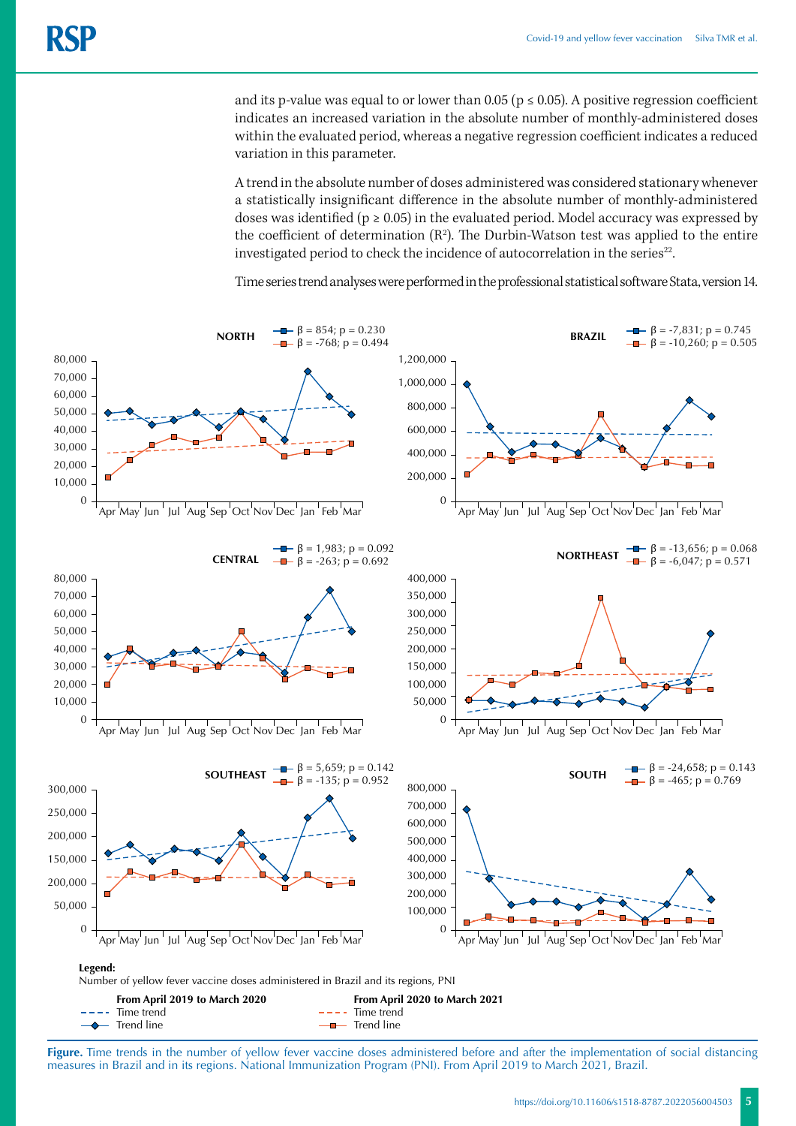and its p-value was equal to or lower than 0.05 ( $p \le 0.05$ ). A positive regression coefficient indicates an increased variation in the absolute number of monthly-administered doses within the evaluated period, whereas a negative regression coefficient indicates a reduced variation in this parameter.

A trend in the absolute number of doses administered was considered stationary whenever a statistically insignificant difference in the absolute number of monthly-administered doses was identified ( $p \ge 0.05$ ) in the evaluated period. Model accuracy was expressed by the coefficient of determination  $(R^2)$ . The Durbin-Watson test was applied to the entire investigated period to check the incidence of autocorrelation in the series $22$ .

Time series trend analyses were performed in the professional statistical software Stata, version 14.



Figure. Time trends in the number of yellow fever vaccine doses administered before and after the implementation of social distancing measures in Brazil and in its regions. National Immunization Program (PNI). From April 2019 to March 2021, Brazil.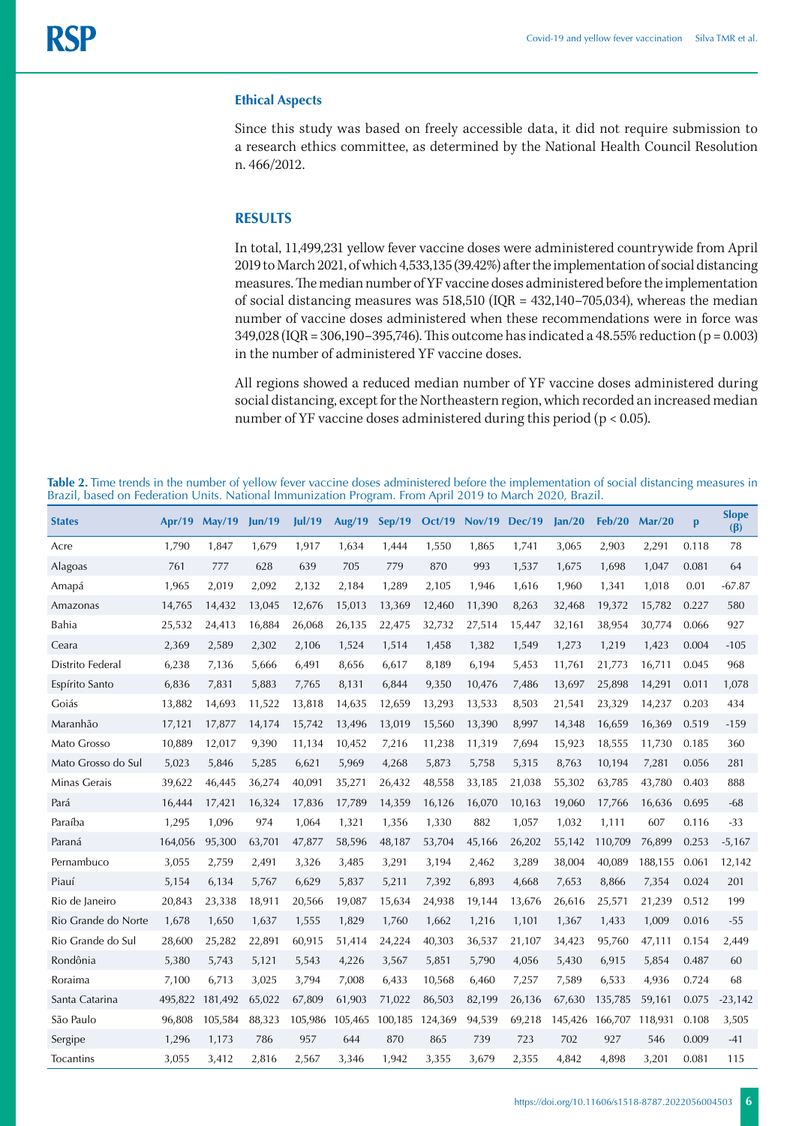#### **Ethical Aspects**

Since this study was based on freely accessible data, it did not require submission to a research ethics committee, as determined by the National Health Council Resolution n. 466/2012.

#### **RESULTS**

In total, 11,499,231 yellow fever vaccine doses were administered countrywide from April 2019 to March 2021, of which 4,533,135 (39.42%) after the implementation of social distancing measures. The median number of YF vaccine doses administered before the implementation of social distancing measures was 518,510 (IQR = 432,140–705,034), whereas the median number of vaccine doses administered when these recommendations were in force was 349,028 (IQR = 306,190–395,746). This outcome has indicated a 48.55% reduction (p = 0.003) in the number of administered YF vaccine doses.

All regions showed a reduced median number of YF vaccine doses administered during social distancing, except for the Northeastern region, which recorded an increased median number of YF vaccine doses administered during this period (p < 0.05).

**Table 2.** Time trends in the number of yellow fever vaccine doses administered before the implementation of social distancing measures in Brazil, based on Federation Units. National Immunization Program. From April 2019 to March 2020, Brazil.

| <b>States</b>       | Apr/19  | <b>May/19</b> | un/19  | ul/19   | <b>Aug/19</b> | Sep/19  | <b>Oct/19</b> | Nov/19 | <b>Dec/19</b> | Jan/20  | Feb/20  | Mar/20  | p     | <b>Slope</b><br>$(\beta)$ |
|---------------------|---------|---------------|--------|---------|---------------|---------|---------------|--------|---------------|---------|---------|---------|-------|---------------------------|
| Acre                | 1,790   | 1,847         | 1,679  | 1,917   | 1,634         | 1,444   | 1,550         | 1,865  | 1,741         | 3,065   | 2,903   | 2,291   | 0.118 | 78                        |
| Alagoas             | 761     | 777           | 628    | 639     | 705           | 779     | 870           | 993    | 1,537         | 1,675   | 1,698   | 1,047   | 0.081 | 64                        |
| Amapá               | 1,965   | 2,019         | 2,092  | 2,132   | 2,184         | 1,289   | 2,105         | 1,946  | 1,616         | 1,960   | 1,341   | 1,018   | 0.01  | $-67.87$                  |
| Amazonas            | 14,765  | 14,432        | 13,045 | 12,676  | 15,013        | 13,369  | 12,460        | 11,390 | 8,263         | 32,468  | 19,372  | 15,782  | 0.227 | 580                       |
| Bahia               | 25,532  | 24,413        | 16,884 | 26,068  | 26,135        | 22,475  | 32,732        | 27,514 | 15,447        | 32,161  | 38,954  | 30,774  | 0.066 | 927                       |
| Ceara               | 2,369   | 2,589         | 2,302  | 2,106   | 1,524         | 1,514   | 1,458         | 1,382  | 1,549         | 1,273   | 1,219   | 1,423   | 0.004 | $-105$                    |
| Distrito Federal    | 6,238   | 7,136         | 5,666  | 6,491   | 8,656         | 6,617   | 8,189         | 6,194  | 5,453         | 11,761  | 21,773  | 16,711  | 0.045 | 968                       |
| Espírito Santo      | 6,836   | 7,831         | 5,883  | 7,765   | 8,131         | 6,844   | 9,350         | 10,476 | 7,486         | 13,697  | 25,898  | 14,291  | 0.011 | 1,078                     |
| Goiás               | 13,882  | 14,693        | 11,522 | 13,818  | 14,635        | 12,659  | 13,293        | 13,533 | 8,503         | 21,541  | 23,329  | 14,237  | 0.203 | 434                       |
| Maranhão            | 17,121  | 17,877        | 14,174 | 15,742  | 13,496        | 13,019  | 15,560        | 13,390 | 8,997         | 14,348  | 16,659  | 16,369  | 0.519 | $-159$                    |
| Mato Grosso         | 10,889  | 12,017        | 9,390  | 11,134  | 10,452        | 7,216   | 11,238        | 11,319 | 7,694         | 15,923  | 18,555  | 11,730  | 0.185 | 360                       |
| Mato Grosso do Sul  | 5,023   | 5,846         | 5,285  | 6,621   | 5,969         | 4,268   | 5,873         | 5,758  | 5,315         | 8,763   | 10,194  | 7,281   | 0.056 | 281                       |
| Minas Gerais        | 39,622  | 46,445        | 36,274 | 40,091  | 35,271        | 26,432  | 48,558        | 33,185 | 21,038        | 55,302  | 63,785  | 43,780  | 0.403 | 888                       |
| Pará                | 16,444  | 17,421        | 16,324 | 17,836  | 17,789        | 14,359  | 16,126        | 16,070 | 10,163        | 19,060  | 17,766  | 16,636  | 0.695 | $-68$                     |
| Paraíba             | 1,295   | 1,096         | 974    | 1,064   | 1,321         | 1,356   | 1,330         | 882    | 1,057         | 1,032   | 1,111   | 607     | 0.116 | $-33$                     |
| Paraná              | 164,056 | 95,300        | 63,701 | 47,877  | 58,596        | 48,187  | 53,704        | 45,166 | 26,202        | 55,142  | 110.709 | 76.899  | 0.253 | $-5,167$                  |
| Pernambuco          | 3,055   | 2,759         | 2,491  | 3,326   | 3,485         | 3,291   | 3,194         | 2,462  | 3,289         | 38,004  | 40,089  | 188,155 | 0.061 | 12,142                    |
| Piauí               | 5,154   | 6,134         | 5,767  | 6,629   | 5,837         | 5,211   | 7,392         | 6,893  | 4,668         | 7,653   | 8,866   | 7,354   | 0.024 | 201                       |
| Rio de Janeiro      | 20,843  | 23,338        | 18,911 | 20,566  | 19,087        | 15,634  | 24,938        | 19,144 | 13,676        | 26,616  | 25,571  | 21,239  | 0.512 | 199                       |
| Rio Grande do Norte | 1,678   | 1,650         | 1,637  | 1,555   | 1,829         | 1,760   | 1,662         | 1,216  | 1,101         | 1,367   | 1,433   | 1,009   | 0.016 | $-55$                     |
| Rio Grande do Sul   | 28,600  | 25,282        | 22,891 | 60,915  | 51,414        | 24,224  | 40,303        | 36,537 | 21,107        | 34,423  | 95,760  | 47,111  | 0.154 | 2,449                     |
| Rondônia            | 5,380   | 5,743         | 5,121  | 5,543   | 4,226         | 3,567   | 5,851         | 5,790  | 4,056         | 5,430   | 6,915   | 5,854   | 0.487 | 60                        |
| Roraima             | 7,100   | 6,713         | 3,025  | 3,794   | 7,008         | 6,433   | 10,568        | 6,460  | 7,257         | 7,589   | 6,533   | 4,936   | 0.724 | 68                        |
| Santa Catarina      | 495,822 | 181,492       | 65,022 | 67,809  | 61,903        | 71,022  | 86,503        | 82,199 | 26,136        | 67,630  | 135,785 | 59,161  | 0.075 | $-23,142$                 |
| São Paulo           | 96,808  | 105,584       | 88,323 | 105,986 | 105,465       | 100,185 | 124,369       | 94,539 | 69,218        | 145,426 | 166,707 | 118,931 | 0.108 | 3,505                     |
| Sergipe             | 1,296   | 1,173         | 786    | 957     | 644           | 870     | 865           | 739    | 723           | 702     | 927     | 546     | 0.009 | $-41$                     |
| Tocantins           | 3,055   | 3,412         | 2,816  | 2,567   | 3,346         | 1,942   | 3,355         | 3.679  | 2.355         | 4.842   | 4.898   | 3.201   | 0.081 | 115                       |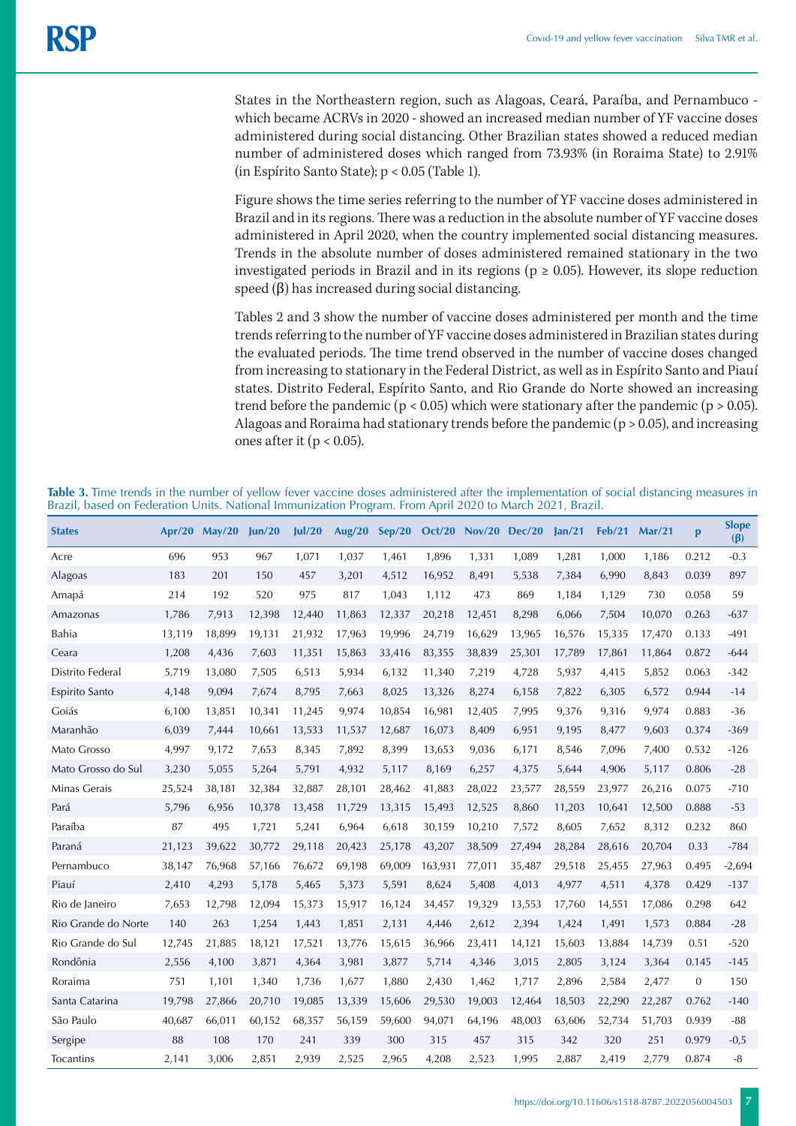States in the Northeastern region, such as Alagoas, Ceará, Paraíba, and Pernambuco which became ACRVs in 2020 - showed an increased median number of YF vaccine doses administered during social distancing. Other Brazilian states showed a reduced median number of administered doses which ranged from 73.93% (in Roraima State) to 2.91% (in Espírito Santo State); p < 0.05 (Table 1).

Figure shows the time series referring to the number of YF vaccine doses administered in Brazil and in its regions. There was a reduction in the absolute number of YF vaccine doses administered in April 2020, when the country implemented social distancing measures. Trends in the absolute number of doses administered remained stationary in the two investigated periods in Brazil and in its regions ( $p \ge 0.05$ ). However, its slope reduction speed  $(\beta)$  has increased during social distancing.

Tables 2 and 3 show the number of vaccine doses administered per month and the time trends referring to the number of YF vaccine doses administered in Brazilian states during the evaluated periods. The time trend observed in the number of vaccine doses changed from increasing to stationary in the Federal District, as well as in Espírito Santo and Piauí states. Distrito Federal, Espírito Santo, and Rio Grande do Norte showed an increasing trend before the pandemic ( $p < 0.05$ ) which were stationary after the pandemic ( $p > 0.05$ ). Alagoas and Roraima had stationary trends before the pandemic  $(p > 0.05)$ , and increasing ones after it ( $p < 0.05$ ).

**Table 3.** Time trends in the number of yellow fever vaccine doses administered after the implementation of social distancing measures in Brazil, based on Federation Units. National Immunization Program. From April 2020 to March 2021, Brazil.

| <b>States</b>       | Ar/20  | Mav/20 | un/20  | ul/20  | <b>Aug/20</b> | Sep/20 | Oct/20  | Nov/20 Dec/20 |        | lan/21 | Feb/21 | Mar/21 | $\mathbf{p}$ | <b>Slope</b><br>$(\beta)$ |
|---------------------|--------|--------|--------|--------|---------------|--------|---------|---------------|--------|--------|--------|--------|--------------|---------------------------|
| Acre                | 696    | 953    | 967    | 1,071  | 1,037         | 1,461  | 1,896   | 1,331         | 1,089  | 1,281  | 1,000  | 1,186  | 0.212        | $-0.3$                    |
| Alagoas             | 183    | 201    | 150    | 457    | 3,201         | 4,512  | 16,952  | 8,491         | 5,538  | 7,384  | 6,990  | 8,843  | 0.039        | 897                       |
| Amapá               | 214    | 192    | 520    | 975    | 817           | 1,043  | 1,112   | 473           | 869    | 1,184  | 1,129  | 730    | 0.058        | 59                        |
| Amazonas            | 1,786  | 7,913  | 12,398 | 12,440 | 11,863        | 12,337 | 20,218  | 12,451        | 8,298  | 6,066  | 7,504  | 10,070 | 0.263        | $-637$                    |
| Bahia               | 13,119 | 18,899 | 19,131 | 21,932 | 17,963        | 19,996 | 24,719  | 16,629        | 13,965 | 16,576 | 15,335 | 17,470 | 0.133        | $-491$                    |
| Ceara               | 1,208  | 4,436  | 7,603  | 11,351 | 15,863        | 33,416 | 83,355  | 38,839        | 25,301 | 17,789 | 17,861 | 11,864 | 0.872        | $-644$                    |
| Distrito Federal    | 5,719  | 13,080 | 7,505  | 6,513  | 5,934         | 6,132  | 11,340  | 7,219         | 4,728  | 5,937  | 4,415  | 5,852  | 0.063        | $-342$                    |
| Espirito Santo      | 4,148  | 9,094  | 7,674  | 8,795  | 7,663         | 8,025  | 13,326  | 8,274         | 6,158  | 7,822  | 6,305  | 6,572  | 0.944        | $-14$                     |
| Goiás               | 6,100  | 13,851 | 10,341 | 11,245 | 9,974         | 10,854 | 16,981  | 12,405        | 7,995  | 9,376  | 9,316  | 9,974  | 0.883        | $-36$                     |
| Maranhão            | 6,039  | 7,444  | 10,661 | 13,533 | 11,537        | 12,687 | 16,073  | 8,409         | 6,951  | 9,195  | 8,477  | 9,603  | 0.374        | $-369$                    |
| Mato Grosso         | 4,997  | 9,172  | 7,653  | 8,345  | 7,892         | 8,399  | 13,653  | 9,036         | 6,171  | 8,546  | 7,096  | 7,400  | 0.532        | $-126$                    |
| Mato Grosso do Sul  | 3,230  | 5,055  | 5,264  | 5,791  | 4,932         | 5,117  | 8,169   | 6,257         | 4,375  | 5,644  | 4,906  | 5,117  | 0.806        | $-28$                     |
| Minas Gerais        | 25,524 | 38,181 | 32,384 | 32,887 | 28,101        | 28,462 | 41,883  | 28,022        | 23,577 | 28,559 | 23,977 | 26,216 | 0.075        | $-710$                    |
| Pará                | 5,796  | 6,956  | 10,378 | 13,458 | 11,729        | 13,315 | 15,493  | 12,525        | 8,860  | 11,203 | 10,641 | 12,500 | 0.888        | $-53$                     |
| Paraíba             | 87     | 495    | 1,721  | 5,241  | 6,964         | 6,618  | 30,159  | 10,210        | 7,572  | 8,605  | 7,652  | 8,312  | 0.232        | 860                       |
| Paraná              | 21,123 | 39.622 | 30,772 | 29,118 | 20,423        | 25,178 | 43,207  | 38,509        | 27,494 | 28,284 | 28,616 | 20.704 | 0.33         | $-784$                    |
| Pernambuco          | 38,147 | 76,968 | 57,166 | 76,672 | 69,198        | 69,009 | 163,931 | 77,011        | 35,487 | 29,518 | 25,455 | 27,963 | 0.495        | $-2,694$                  |
| Piauí               | 2,410  | 4,293  | 5,178  | 5,465  | 5,373         | 5,591  | 8,624   | 5,408         | 4,013  | 4,977  | 4,511  | 4,378  | 0.429        | $-137$                    |
| Rio de Janeiro      | 7,653  | 12,798 | 12,094 | 15,373 | 15,917        | 16,124 | 34,457  | 19,329        | 13,553 | 17,760 | 14,551 | 17,086 | 0.298        | 642                       |
| Rio Grande do Norte | 140    | 263    | 1,254  | 1,443  | 1,851         | 2,131  | 4,446   | 2,612         | 2,394  | 1,424  | 1,491  | 1,573  | 0.884        | $-28$                     |
| Rio Grande do Sul   | 12,745 | 21,885 | 18,121 | 17,521 | 13,776        | 15,615 | 36,966  | 23,411        | 14,121 | 15,603 | 13,884 | 14,739 | 0.51         | $-520$                    |
| Rondônia            | 2,556  | 4,100  | 3,871  | 4,364  | 3,981         | 3,877  | 5,714   | 4,346         | 3,015  | 2,805  | 3,124  | 3,364  | 0.145        | $-145$                    |
| Roraima             | 751    | 1,101  | 1,340  | 1,736  | 1,677         | 1,880  | 2,430   | 1,462         | 1,717  | 2,896  | 2,584  | 2,477  | $\mathbf{0}$ | 150                       |
| Santa Catarina      | 19,798 | 27,866 | 20,710 | 19,085 | 13,339        | 15,606 | 29,530  | 19,003        | 12,464 | 18,503 | 22,290 | 22,287 | 0.762        | $-140$                    |
| São Paulo           | 40,687 | 66,011 | 60,152 | 68,357 | 56,159        | 59,600 | 94,071  | 64,196        | 48,003 | 63,606 | 52,734 | 51,703 | 0.939        | $-88$                     |
| Sergipe             | 88     | 108    | 170    | 241    | 339           | 300    | 315     | 457           | 315    | 342    | 320    | 251    | 0.979        | $-0,5$                    |
| Tocantins           | 2,141  | 3.006  | 2,851  | 2.939  | 2.525         | 2,965  | 4,208   | 2,523         | 1.995  | 2.887  | 2.419  | 2.779  | 0.874        | $-8$                      |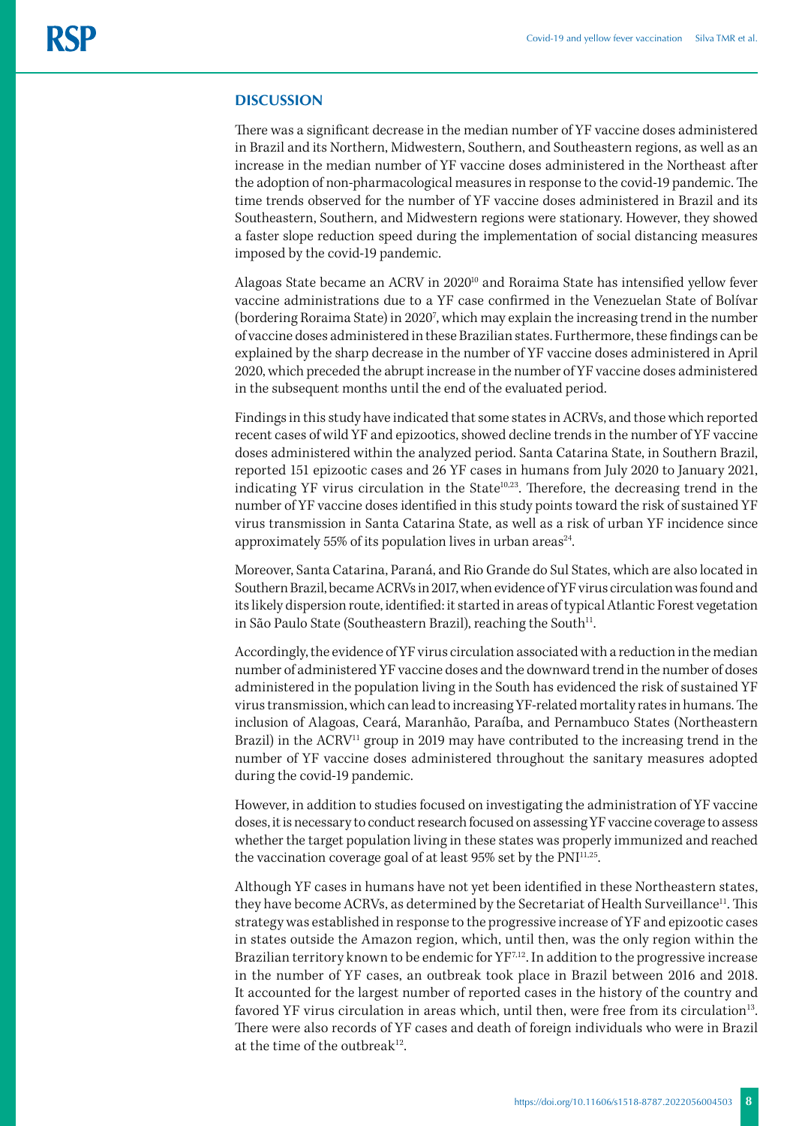#### **DISCUSSION**

There was a significant decrease in the median number of YF vaccine doses administered in Brazil and its Northern, Midwestern, Southern, and Southeastern regions, as well as an increase in the median number of YF vaccine doses administered in the Northeast after the adoption of non-pharmacological measures in response to the covid-19 pandemic. The time trends observed for the number of YF vaccine doses administered in Brazil and its Southeastern, Southern, and Midwestern regions were stationary. However, they showed a faster slope reduction speed during the implementation of social distancing measures imposed by the covid-19 pandemic.

Alagoas State became an ACRV in 2020<sup>10</sup> and Roraima State has intensified yellow fever vaccine administrations due to a YF case confirmed in the Venezuelan State of Bolívar (bordering Roraima State) in 20207 , which may explain the increasing trend in the number of vaccine doses administered in these Brazilian states. Furthermore, these findings can be explained by the sharp decrease in the number of YF vaccine doses administered in April 2020, which preceded the abrupt increase in the number of YF vaccine doses administered in the subsequent months until the end of the evaluated period.

Findings in this study have indicated that some states in ACRVs, and those which reported recent cases of wild YF and epizootics, showed decline trends in the number of YF vaccine doses administered within the analyzed period. Santa Catarina State, in Southern Brazil, reported 151 epizootic cases and 26 YF cases in humans from July 2020 to January 2021, indicating YF virus circulation in the State<sup>10,23</sup>. Therefore, the decreasing trend in the number of YF vaccine doses identified in this study points toward the risk of sustained YF virus transmission in Santa Catarina State, as well as a risk of urban YF incidence since approximately 55% of its population lives in urban areas $24$ .

Moreover, Santa Catarina, Paraná, and Rio Grande do Sul States, which are also located in Southern Brazil, became ACRVs in 2017, when evidence of YF virus circulation was found and its likely dispersion route, identified: it started in areas of typical Atlantic Forest vegetation in São Paulo State (Southeastern Brazil), reaching the South<sup>11</sup>.

Accordingly, the evidence of YF virus circulation associated with a reduction in the median number of administered YF vaccine doses and the downward trend in the number of doses administered in the population living in the South has evidenced the risk of sustained YF virus transmission, which can lead to increasing YF-related mortality rates in humans. The inclusion of Alagoas, Ceará, Maranhão, Paraíba, and Pernambuco States (Northeastern Brazil) in the  $\text{ACRV}^{11}$  group in 2019 may have contributed to the increasing trend in the number of YF vaccine doses administered throughout the sanitary measures adopted during the covid-19 pandemic.

However, in addition to studies focused on investigating the administration of YF vaccine doses, it is necessary to conduct research focused on assessing YF vaccine coverage to assess whether the target population living in these states was properly immunized and reached the vaccination coverage goal of at least 95% set by the PNI<sup>11,25</sup>.

Although YF cases in humans have not yet been identified in these Northeastern states, they have become ACRVs, as determined by the Secretariat of Health Surveillance<sup>11</sup>. This strategy was established in response to the progressive increase of YF and epizootic cases in states outside the Amazon region, which, until then, was the only region within the Brazilian territory known to be endemic for  $YF^{7,12}$ . In addition to the progressive increase in the number of YF cases, an outbreak took place in Brazil between 2016 and 2018. It accounted for the largest number of reported cases in the history of the country and favored YF virus circulation in areas which, until then, were free from its circulation<sup>13</sup>. There were also records of YF cases and death of foreign individuals who were in Brazil at the time of the outbreak<sup>12</sup>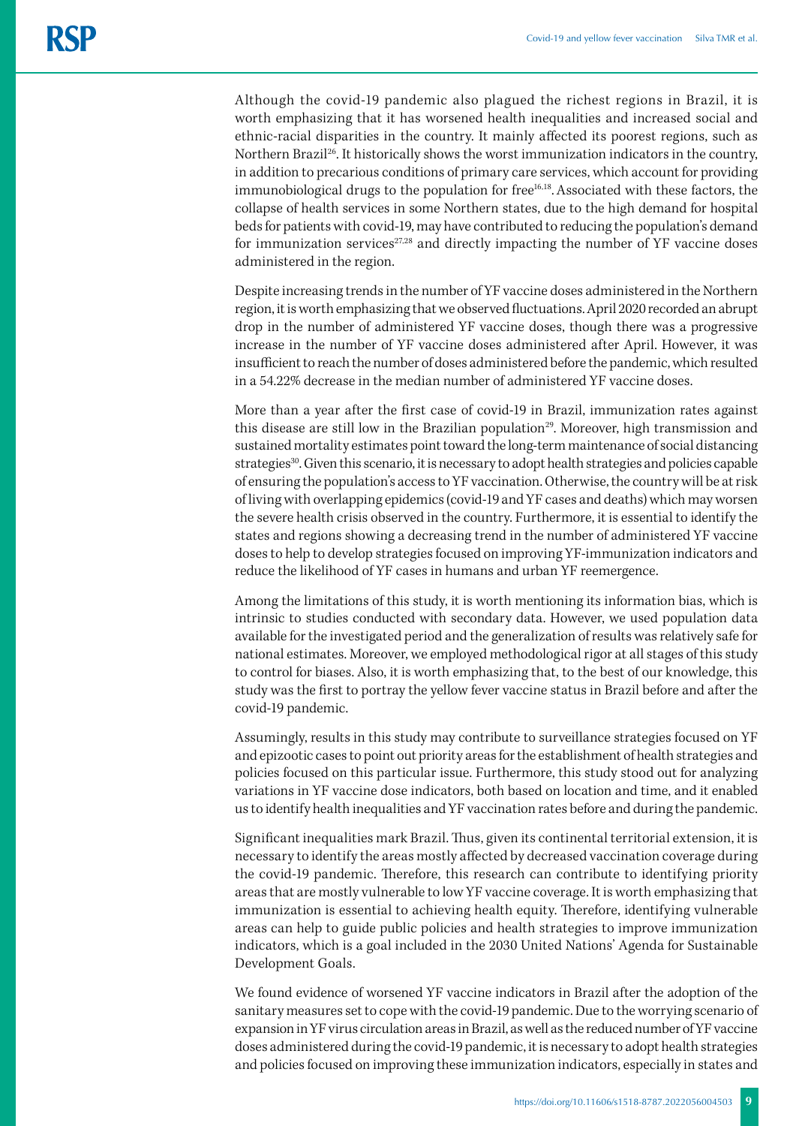Although the covid-19 pandemic also plagued the richest regions in Brazil, it is worth emphasizing that it has worsened health inequalities and increased social and ethnic-racial disparities in the country. It mainly affected its poorest regions, such as Northern Brazil26. It historically shows the worst immunization indicators in the country, in addition to precarious conditions of primary care services, which account for providing immunobiological drugs to the population for free<sup>16,18</sup>. Associated with these factors, the collapse of health services in some Northern states, due to the high demand for hospital beds for patients with covid-19, may have contributed to reducing the population's demand for immunization services $27,28$  and directly impacting the number of YF vaccine doses administered in the region.

Despite increasing trends in the number of YF vaccine doses administered in the Northern region, it is worth emphasizing that we observed fluctuations. April 2020 recorded an abrupt drop in the number of administered YF vaccine doses, though there was a progressive increase in the number of YF vaccine doses administered after April. However, it was insufficient to reach the number of doses administered before the pandemic, which resulted in a 54.22% decrease in the median number of administered YF vaccine doses.

More than a year after the first case of covid-19 in Brazil, immunization rates against this disease are still low in the Brazilian population<sup>29</sup>. Moreover, high transmission and sustained mortality estimates point toward the long-term maintenance of social distancing strategies<sup>30</sup>. Given this scenario, it is necessary to adopt health strategies and policies capable of ensuring the population's access to YF vaccination. Otherwise, the country will be at risk of living with overlapping epidemics (covid-19 and YF cases and deaths) which may worsen the severe health crisis observed in the country. Furthermore, it is essential to identify the states and regions showing a decreasing trend in the number of administered YF vaccine doses to help to develop strategies focused on improving YF-immunization indicators and reduce the likelihood of YF cases in humans and urban YF reemergence.

Among the limitations of this study, it is worth mentioning its information bias, which is intrinsic to studies conducted with secondary data. However, we used population data available for the investigated period and the generalization of results was relatively safe for national estimates. Moreover, we employed methodological rigor at all stages of this study to control for biases. Also, it is worth emphasizing that, to the best of our knowledge, this study was the first to portray the yellow fever vaccine status in Brazil before and after the covid-19 pandemic.

Assumingly, results in this study may contribute to surveillance strategies focused on YF and epizootic cases to point out priority areas for the establishment of health strategies and policies focused on this particular issue. Furthermore, this study stood out for analyzing variations in YF vaccine dose indicators, both based on location and time, and it enabled us to identify health inequalities and YF vaccination rates before and during the pandemic.

Significant inequalities mark Brazil. Thus, given its continental territorial extension, it is necessary to identify the areas mostly affected by decreased vaccination coverage during the covid-19 pandemic. Therefore, this research can contribute to identifying priority areas that are mostly vulnerable to low YF vaccine coverage. It is worth emphasizing that immunization is essential to achieving health equity. Therefore, identifying vulnerable areas can help to guide public policies and health strategies to improve immunization indicators, which is a goal included in the 2030 United Nations' Agenda for Sustainable Development Goals.

We found evidence of worsened YF vaccine indicators in Brazil after the adoption of the sanitary measures set to cope with the covid-19 pandemic. Due to the worrying scenario of expansion in YF virus circulation areas in Brazil, as well as the reduced number of YF vaccine doses administered during the covid-19 pandemic, it is necessary to adopt health strategies and policies focused on improving these immunization indicators, especially in states and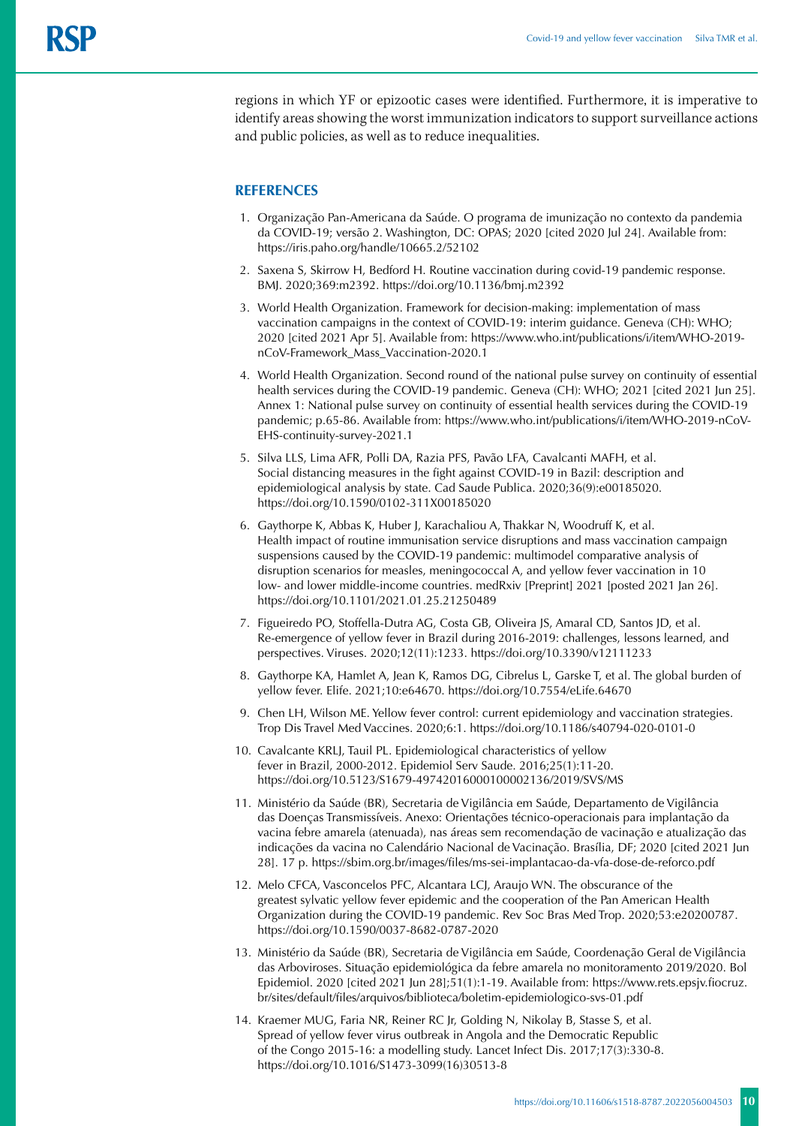regions in which YF or epizootic cases were identified. Furthermore, it is imperative to identify areas showing the worst immunization indicators to support surveillance actions and public policies, as well as to reduce inequalities.

# **REFERENCES**

- 1. Organização Pan-Americana da Saúde. O programa de imunização no contexto da pandemia da COVID-19; versão 2. Washington, DC: OPAS; 2020 [cited 2020 Jul 24]. Available from: https://iris.paho.org/handle/10665.2/52102
- 2. Saxena S, Skirrow H, Bedford H. Routine vaccination during covid-19 pandemic response. BMJ. 2020;369:m2392. https://doi.org/10.1136/bmj.m2392
- 3. World Health Organization. Framework for decision-making: implementation of mass vaccination campaigns in the context of COVID-19: interim guidance. Geneva (CH): WHO; 2020 [cited 2021 Apr 5]. Available from: [https://www.who.int/publications/i/item/WHO-2019](https://www.who.int/publications/i/item/WHO-2019-nCoV-Framework_Mass_Vaccination-2020.1) [nCoV-Framework\\_Mass\\_Vaccination-2020.1](https://www.who.int/publications/i/item/WHO-2019-nCoV-Framework_Mass_Vaccination-2020.1)
- 4. World Health Organization. Second round of the national pulse survey on continuity of essential health services during the COVID-19 pandemic. Geneva (CH): WHO; 2021 [cited 2021 Jun 25]. Annex 1: National pulse survey on continuity of essential health services during the COVID-19 pandemic; p.65-86. Available from: https://www.who.int/publications/i/item/WHO-2019-nCoV-EHS-continuity-survey-2021.1
- 5. Silva LLS, Lima AFR, Polli DA, Razia PFS, Pavão LFA, Cavalcanti MAFH, et al. Social distancing measures in the fight against COVID-19 in Bazil: description and epidemiological analysis by state. Cad Saude Publica. 2020;36(9):e00185020. https://doi.org/10.1590/0102-311X00185020
- 6. Gaythorpe K, Abbas K, Huber J, Karachaliou A, Thakkar N, Woodruff K, et al. Health impact of routine immunisation service disruptions and mass vaccination campaign suspensions caused by the COVID-19 pandemic: multimodel comparative analysis of disruption scenarios for measles, meningococcal A, and yellow fever vaccination in 10 low- and lower middle-income countries. medRxiv [Preprint] 2021 [posted 2021 Jan 26]. https://doi.org/10.1101/2021.01.25.21250489
- 7. Figueiredo PO, Stoffella-Dutra AG, Costa GB, Oliveira JS, Amaral CD, Santos JD, et al. Re-emergence of yellow fever in Brazil during 2016-2019: challenges, lessons learned, and perspectives. Viruses. 2020;12(11):1233.<https://doi.org/10.3390/v12111233>
- 8. Gaythorpe KA, Hamlet A, Jean K, Ramos DG, Cibrelus L, Garske T, et al. The global burden of yellow fever. Elife. 2021;10:e64670. https://doi.org/10.7554/eLife.64670
- 9. Chen LH, Wilson ME. Yellow fever control: current epidemiology and vaccination strategies. Trop Dis Travel Med Vaccines. 2020;6:1. https://doi.org/10.1186/s40794-020-0101-0
- 10. Cavalcante KRLJ, Tauil PL. Epidemiological characteristics of yellow fever in Brazil, 2000-2012. Epidemiol Serv Saude. 2016;25(1):11-20. <https://doi.org/10.5123/S1679-49742016000100002>136/2019/SVS/MS
- 11. Ministério da Saúde (BR), Secretaria de Vigilância em Saúde, Departamento de Vigilância das Doenças Transmissíveis. Anexo: Orientações técnico-operacionais para implantação da vacina febre amarela (atenuada), nas áreas sem recomendação de vacinação e atualização das indicações da vacina no Calendário Nacional de Vacinação. Brasília, DF; 2020 [cited 2021 Jun 28]. 17 p.<https://sbim.org.br/images/files/ms-sei-implantacao-da-vfa-dose-de-reforco.pdf>
- 12. Melo CFCA, Vasconcelos PFC, Alcantara LCJ, Araujo WN. The obscurance of the greatest sylvatic yellow fever epidemic and the cooperation of the Pan American Health Organization during the COVID-19 pandemic. Rev Soc Bras Med Trop. 2020;53:e20200787. https://doi.org/10.1590/0037-8682-0787-2020
- 13. Ministério da Saúde (BR), Secretaria de Vigilância em Saúde, Coordenação Geral de Vigilância das Arboviroses. Situação epidemiológica da febre amarela no monitoramento 2019/2020. Bol Epidemiol. 2020 [cited 2021 Jun 28];51(1):1-19. Available from: https://www.rets.epsjv.fiocruz. br/sites/default/files/arquivos/biblioteca/boletim-epidemiologico-svs-01.pdf
- 14. Kraemer MUG, Faria NR, Reiner RC Jr, Golding N, Nikolay B, Stasse S, et al. Spread of yellow fever virus outbreak in Angola and the Democratic Republic of the Congo 2015-16: a modelling study. Lancet Infect Dis. 2017;17(3):330-8. https://doi.org/10.1016/S1473-3099(16)30513-8